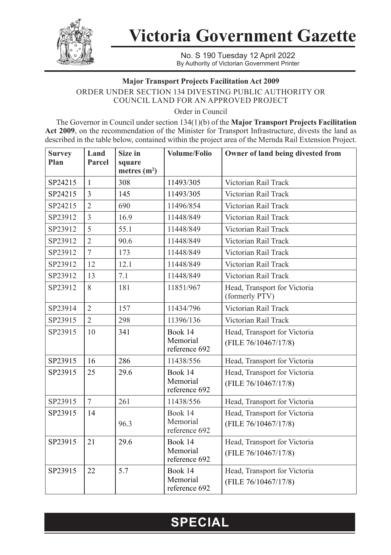

**Victoria Government Gazette**

No. S 190 Tuesday 12 April 2022 By Authority of Victorian Government Printer

## **Major Transport Projects Facilitation Act 2009**

ORDER UNDER SECTION 134 DIVESTING PUBLIC AUTHORITY OR COUNCIL LAND FOR AN APPROVED PROJECT

Order in Council

The Governor in Council under section 134(1)(b) of the **Major Transport Projects Facilitation Act 2009**, on the recommendation of the Minister for Transport Infrastructure, divests the land as described in the table below, contained within the project area of the Mernda Rail Extension Project.

| <b>Survey</b><br>Plan | Land<br>Parcel | Size in<br>square<br>metres $(m2)$ | Volume/Folio                         | Owner of land being divested from                    |
|-----------------------|----------------|------------------------------------|--------------------------------------|------------------------------------------------------|
| SP24215               | $\mathbf{1}$   | 308                                | 11493/305                            | Victorian Rail Track                                 |
| SP24215               | 3              | 145                                | 11493/305                            | Victorian Rail Track                                 |
| SP24215               | $\overline{2}$ | 690                                | 11496/854                            | Victorian Rail Track                                 |
| SP23912               | 3              | 16.9                               | 11448/849                            | Victorian Rail Track                                 |
| SP23912               | 5              | 55.1                               | 11448/849                            | Victorian Rail Track                                 |
| SP23912               | $\overline{2}$ | 90.6                               | 11448/849                            | Victorian Rail Track                                 |
| SP23912               | $\overline{7}$ | 173                                | 11448/849                            | Victorian Rail Track                                 |
| SP23912               | 12             | 12.1                               | 11448/849                            | Victorian Rail Track                                 |
| SP23912               | 13             | 7.1                                | 11448/849                            | Victorian Rail Track                                 |
| SP23912               | 8              | 181                                | 11851/967                            | Head, Transport for Victoria<br>(formerly PTV)       |
| SP23914               | $\overline{2}$ | 157                                | 11434/796                            | Victorian Rail Track                                 |
| SP23915               | $\overline{2}$ | 298                                | 11396/136                            | Victorian Rail Track                                 |
| SP23915               | 10             | 341                                | Book 14<br>Memorial<br>reference 692 | Head, Transport for Victoria<br>(FILE 76/10467/17/8) |
| SP23915               | 16             | 286                                | 11438/556                            | Head, Transport for Victoria                         |
| SP23915               | 25             | 29.6                               | Book 14<br>Memorial<br>reference 692 | Head, Transport for Victoria<br>(FILE 76/10467/17/8) |
| SP23915               | $\overline{7}$ | 261                                | 11438/556                            | Head, Transport for Victoria                         |
| SP23915               | 14             | 96.3                               | Book 14<br>Memorial<br>reference 692 | Head, Transport for Victoria<br>(FILE 76/10467/17/8) |
| SP23915               | 21             | 29.6                               | Book 14<br>Memorial<br>reference 692 | Head, Transport for Victoria<br>(FILE 76/10467/17/8) |
| SP23915               | 22             | 5.7                                | Book 14<br>Memorial<br>reference 692 | Head, Transport for Victoria<br>(FILE 76/10467/17/8) |

## **SPECIAL**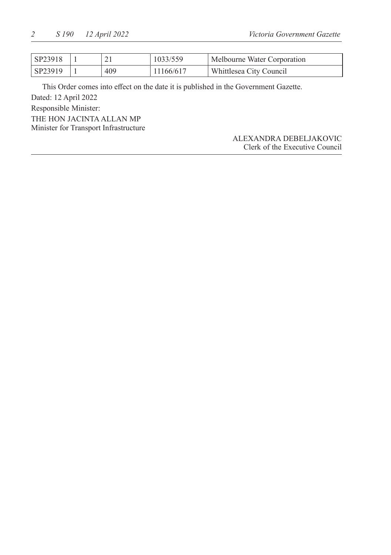| SP23918 |     | 1033/559  | Melbourne Water Corporation |
|---------|-----|-----------|-----------------------------|
| SP23919 | 409 | 11166/617 | Whittlesea City Council     |

This Order comes into effect on the date it is published in the Government Gazette.

Dated: 12 April 2022

Responsible Minister: THE HON JACINTA ALLAN MP Minister for Transport Infrastructure

> ALEXANDRA DEBELJAKOVIC Clerk of the Executive Council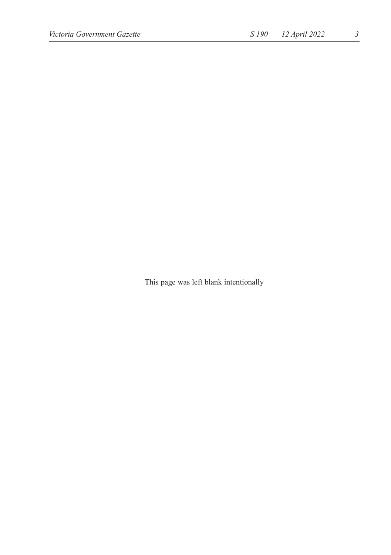This page was left blank intentionally